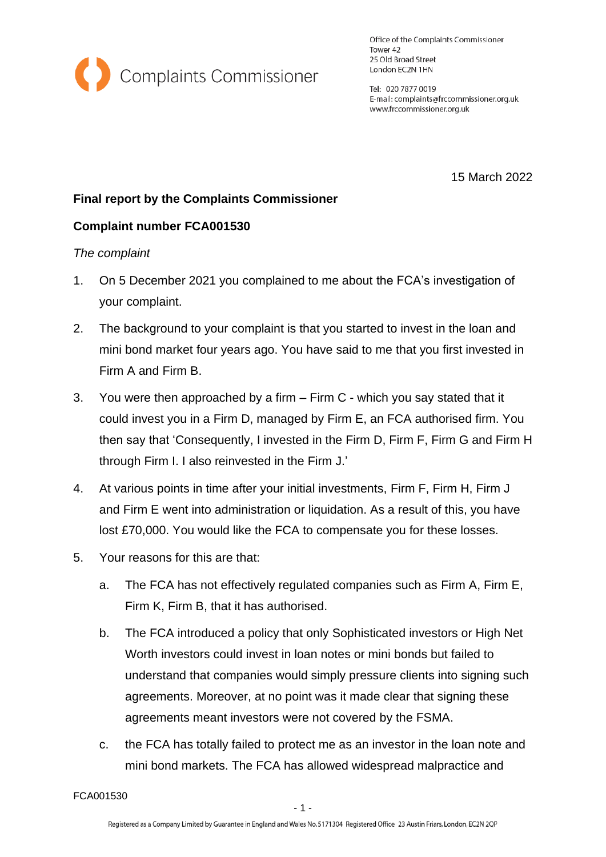

Office of the Complaints Commissioner Tower 42 25 Old Broad Street London EC2N 1HN

Tel: 020 7877 0019 E-mail: complaints@frccommissioner.org.uk www.frccommissioner.org.uk

15 March 2022

# **Final report by the Complaints Commissioner**

## **Complaint number FCA001530**

## *The complaint*

- 1. On 5 December 2021 you complained to me about the FCA's investigation of your complaint.
- 2. The background to your complaint is that you started to invest in the loan and mini bond market four years ago. You have said to me that you first invested in Firm A and Firm B.
- 3. You were then approached by a firm Firm C which you say stated that it could invest you in a Firm D, managed by Firm E, an FCA authorised firm. You then say that 'Consequently, I invested in the Firm D, Firm F, Firm G and Firm H through Firm I. I also reinvested in the Firm J.'
- 4. At various points in time after your initial investments, Firm F, Firm H, Firm J and Firm E went into administration or liquidation. As a result of this, you have lost £70,000. You would like the FCA to compensate you for these losses.
- 5. Your reasons for this are that:
	- a. The FCA has not effectively regulated companies such as Firm A, Firm E, Firm K, Firm B, that it has authorised.
	- b. The FCA introduced a policy that only Sophisticated investors or High Net Worth investors could invest in loan notes or mini bonds but failed to understand that companies would simply pressure clients into signing such agreements. Moreover, at no point was it made clear that signing these agreements meant investors were not covered by the FSMA.
	- c. the FCA has totally failed to protect me as an investor in the loan note and mini bond markets. The FCA has allowed widespread malpractice and

FCA001530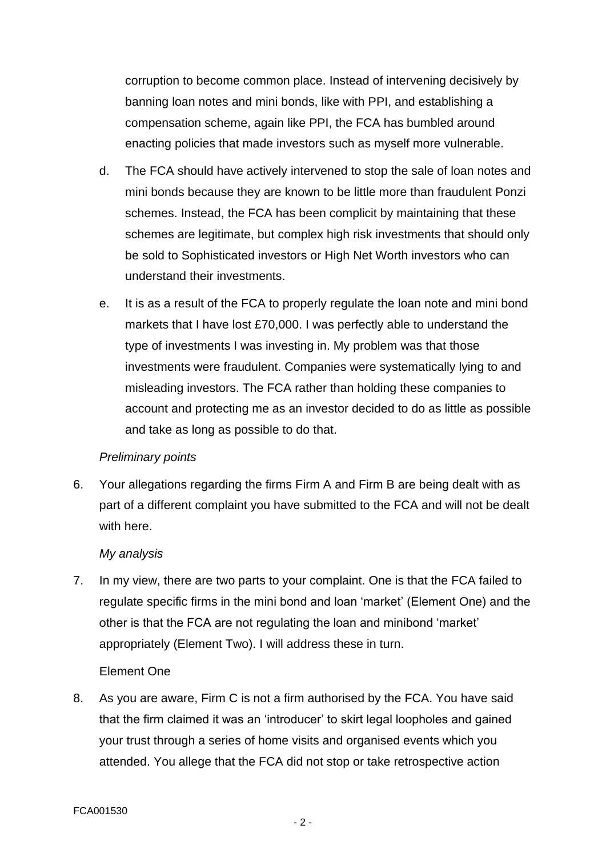corruption to become common place. Instead of intervening decisively by banning loan notes and mini bonds, like with PPI, and establishing a compensation scheme, again like PPI, the FCA has bumbled around enacting policies that made investors such as myself more vulnerable.

- d. The FCA should have actively intervened to stop the sale of loan notes and mini bonds because they are known to be little more than fraudulent Ponzi schemes. Instead, the FCA has been complicit by maintaining that these schemes are legitimate, but complex high risk investments that should only be sold to Sophisticated investors or High Net Worth investors who can understand their investments.
- e. It is as a result of the FCA to properly regulate the loan note and mini bond markets that I have lost £70,000. I was perfectly able to understand the type of investments I was investing in. My problem was that those investments were fraudulent. Companies were systematically lying to and misleading investors. The FCA rather than holding these companies to account and protecting me as an investor decided to do as little as possible and take as long as possible to do that.

## *Preliminary points*

6. Your allegations regarding the firms Firm A and Firm B are being dealt with as part of a different complaint you have submitted to the FCA and will not be dealt with here.

#### *My analysis*

7. In my view, there are two parts to your complaint. One is that the FCA failed to regulate specific firms in the mini bond and loan 'market' (Element One) and the other is that the FCA are not regulating the loan and minibond 'market' appropriately (Element Two). I will address these in turn.

#### Element One

8. As you are aware, Firm C is not a firm authorised by the FCA. You have said that the firm claimed it was an 'introducer' to skirt legal loopholes and gained your trust through a series of home visits and organised events which you attended. You allege that the FCA did not stop or take retrospective action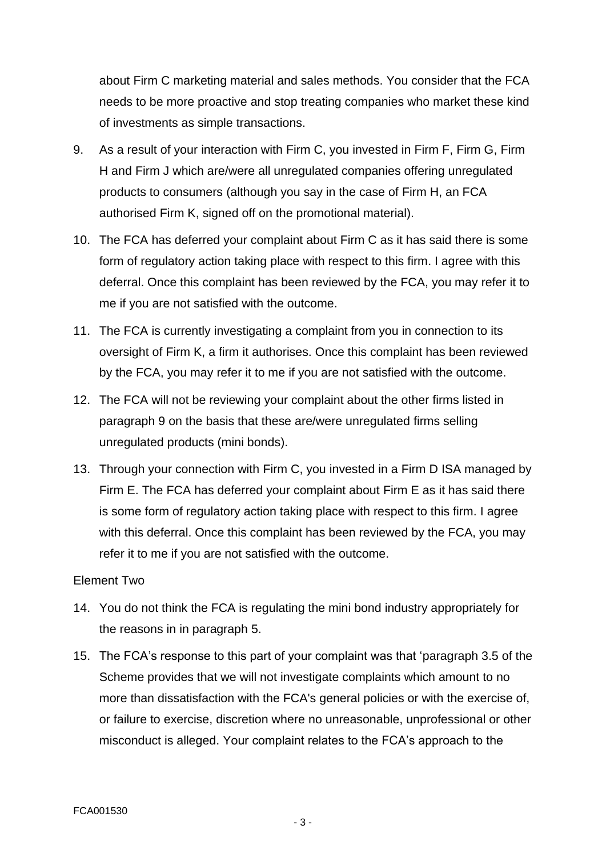about Firm C marketing material and sales methods. You consider that the FCA needs to be more proactive and stop treating companies who market these kind of investments as simple transactions.

- 9. As a result of your interaction with Firm C, you invested in Firm F, Firm G, Firm H and Firm J which are/were all unregulated companies offering unregulated products to consumers (although you say in the case of Firm H, an FCA authorised Firm K, signed off on the promotional material).
- 10. The FCA has deferred your complaint about Firm C as it has said there is some form of regulatory action taking place with respect to this firm. I agree with this deferral. Once this complaint has been reviewed by the FCA, you may refer it to me if you are not satisfied with the outcome.
- 11. The FCA is currently investigating a complaint from you in connection to its oversight of Firm K, a firm it authorises. Once this complaint has been reviewed by the FCA, you may refer it to me if you are not satisfied with the outcome.
- 12. The FCA will not be reviewing your complaint about the other firms listed in paragraph 9 on the basis that these are/were unregulated firms selling unregulated products (mini bonds).
- 13. Through your connection with Firm C, you invested in a Firm D ISA managed by Firm E. The FCA has deferred your complaint about Firm E as it has said there is some form of regulatory action taking place with respect to this firm. I agree with this deferral. Once this complaint has been reviewed by the FCA, you may refer it to me if you are not satisfied with the outcome.

#### Element Two

- 14. You do not think the FCA is regulating the mini bond industry appropriately for the reasons in in paragraph 5.
- 15. The FCA's response to this part of your complaint was that 'paragraph 3.5 of the Scheme provides that we will not investigate complaints which amount to no more than dissatisfaction with the FCA's general policies or with the exercise of, or failure to exercise, discretion where no unreasonable, unprofessional or other misconduct is alleged. Your complaint relates to the FCA's approach to the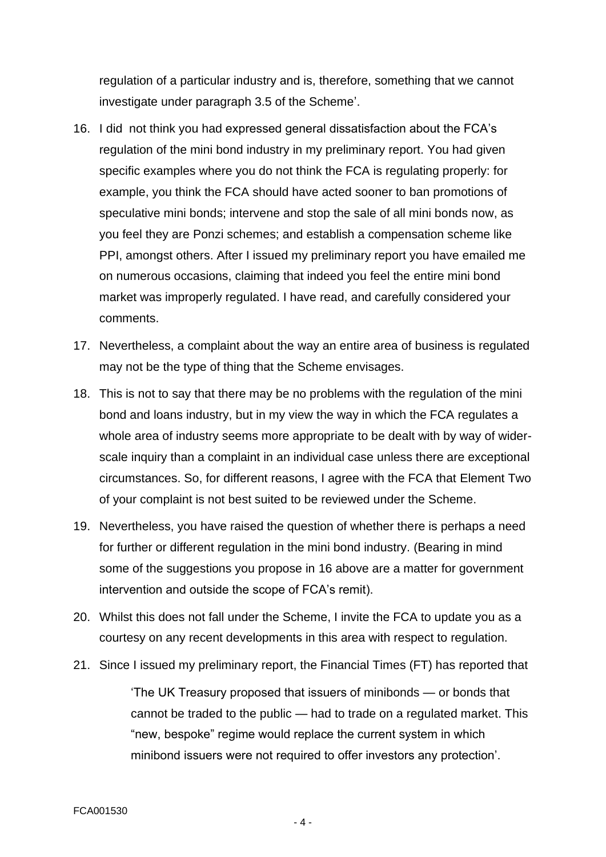regulation of a particular industry and is, therefore, something that we cannot investigate under paragraph 3.5 of the Scheme'.

- 16. I did not think you had expressed general dissatisfaction about the FCA's regulation of the mini bond industry in my preliminary report. You had given specific examples where you do not think the FCA is regulating properly: for example, you think the FCA should have acted sooner to ban promotions of speculative mini bonds; intervene and stop the sale of all mini bonds now, as you feel they are Ponzi schemes; and establish a compensation scheme like PPI, amongst others. After I issued my preliminary report you have emailed me on numerous occasions, claiming that indeed you feel the entire mini bond market was improperly regulated. I have read, and carefully considered your comments.
- 17. Nevertheless, a complaint about the way an entire area of business is regulated may not be the type of thing that the Scheme envisages.
- 18. This is not to say that there may be no problems with the regulation of the mini bond and loans industry, but in my view the way in which the FCA regulates a whole area of industry seems more appropriate to be dealt with by way of widerscale inquiry than a complaint in an individual case unless there are exceptional circumstances. So, for different reasons, I agree with the FCA that Element Two of your complaint is not best suited to be reviewed under the Scheme.
- 19. Nevertheless, you have raised the question of whether there is perhaps a need for further or different regulation in the mini bond industry. (Bearing in mind some of the suggestions you propose in 16 above are a matter for government intervention and outside the scope of FCA's remit).
- 20. Whilst this does not fall under the Scheme, I invite the FCA to update you as a courtesy on any recent developments in this area with respect to regulation.
- 21. Since I issued my preliminary report, the Financial Times (FT) has reported that

'The UK Treasury proposed that issuers of minibonds — or bonds that cannot be traded to the public — had to trade on a regulated market. This "new, bespoke" regime would replace the current system in which minibond issuers were not required to offer investors any protection'.